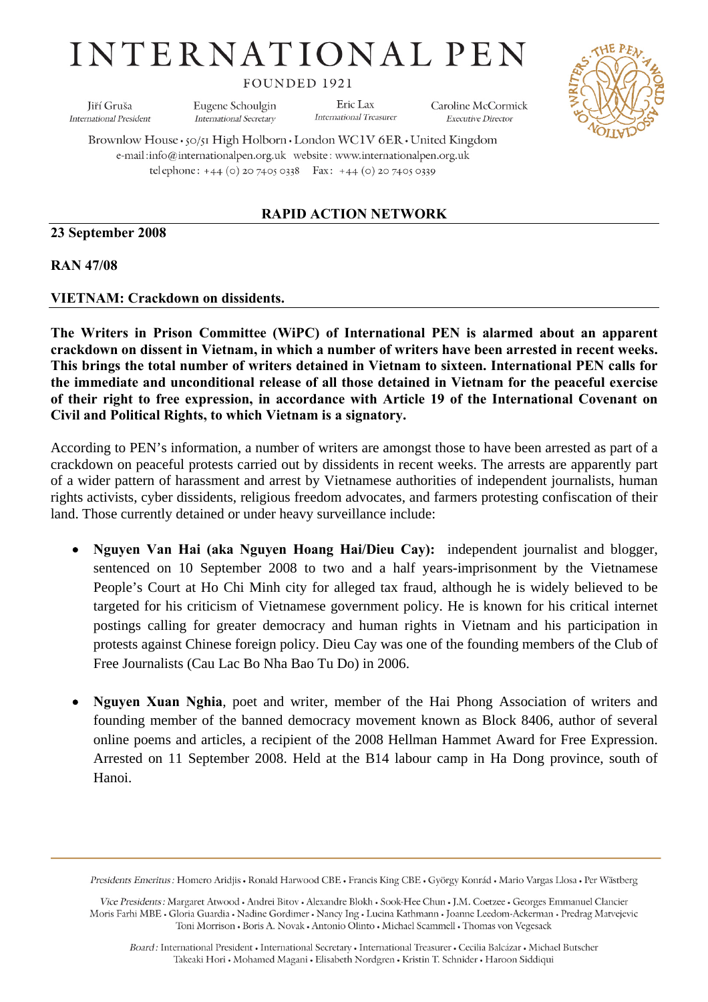# **INTERNATIONAL PEN**

FOUNDED 1921

Jiří Gruša **International President**  Eugene Schoulgin **International Secretary** 

Eric Lax International Treasurer

Caroline McCormick **Executive Director** 



Brownlow House · 50/51 High Holborn · London WC1V 6ER · United Kingdom e-mail:info@internationalpen.org.uk website: www.internationalpen.org.uk telephone: +44 (0) 20 7405 0338 Fax: +44 (0) 20 7405 0339

## **RAPID ACTION NETWORK**

#### **23 September 2008**

#### **RAN 47/08**

#### **VIETNAM: Crackdown on dissidents.**

**The Writers in Prison Committee (WiPC) of International PEN is alarmed about an apparent crackdown on dissent in Vietnam, in which a number of writers have been arrested in recent weeks. This brings the total number of writers detained in Vietnam to sixteen. International PEN calls for the immediate and unconditional release of all those detained in Vietnam for the peaceful exercise of their right to free expression, in accordance with Article 19 of the International Covenant on Civil and Political Rights, to which Vietnam is a signatory.** 

According to PEN's information, a number of writers are amongst those to have been arrested as part of a crackdown on peaceful protests carried out by dissidents in recent weeks. The arrests are apparently part of a wider pattern of harassment and arrest by Vietnamese authorities of independent journalists, human rights activists, cyber dissidents, religious freedom advocates, and farmers protesting confiscation of their land. Those currently detained or under heavy surveillance include:

- **Nguyen Van Hai (aka Nguyen Hoang Hai/Dieu Cay):** independent journalist and blogger, sentenced on 10 September 2008 to two and a half years-imprisonment by the Vietnamese People's Court at Ho Chi Minh city for alleged tax fraud, although he is widely believed to be targeted for his criticism of Vietnamese government policy. He is known for his critical internet postings calling for greater democracy and human rights in Vietnam and his participation in protests against Chinese foreign policy. Dieu Cay was one of the founding members of the Club of Free Journalists (Cau Lac Bo Nha Bao Tu Do) in 2006.
- **Nguyen Xuan Nghia**, poet and writer, member of the Hai Phong Association of writers and founding member of the banned democracy movement known as Block 8406, author of several online poems and articles, a recipient of the 2008 Hellman Hammet Award for Free Expression. Arrested on 11 September 2008. Held at the B14 labour camp in Ha Dong province, south of Hanoi.

Presidents Emeritus : Homero Aridjis · Ronald Harwood CBE · Francis King CBE · György Konrád · Mario Vargas Llosa · Per Wästberg

Vice Presidents: Margaret Atwood . Andrei Bitov . Alexandre Blokh . Sook-Hee Chun . J.M. Coetzee . Georges Emmanuel Clancier Moris Farhi MBE • Gloria Guardia • Nadine Gordimer • Nancy Ing • Lucina Kathmann • Joanne Leedom-Ackerman • Predrag Matvejevic Toni Morrison . Boris A. Novak . Antonio Olinto . Michael Scammell . Thomas von Vegesack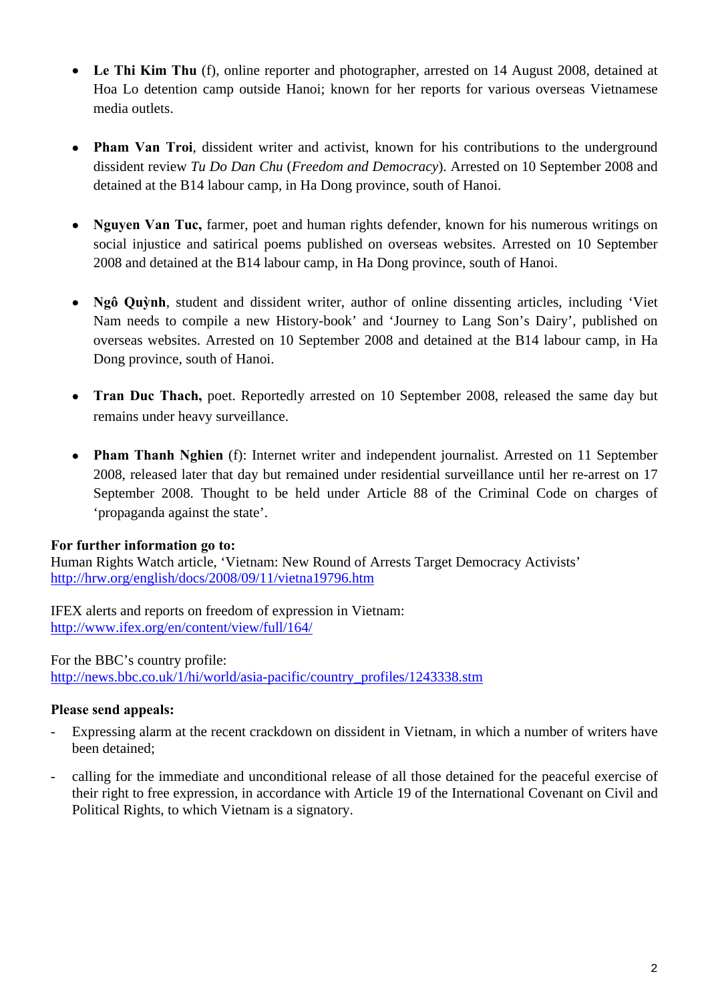- **Le Thi Kim Thu** (f), online reporter and photographer, arrested on 14 August 2008, detained at Hoa Lo detention camp outside Hanoi; known for her reports for various overseas Vietnamese media outlets.
- **Pham Van Troi**, dissident writer and activist, known for his contributions to the underground dissident review *Tu Do Dan Chu* (*Freedom and Democracy*). Arrested on 10 September 2008 and detained at the B14 labour camp, in Ha Dong province, south of Hanoi.
- **Nguyen Van Tuc,** farmer, poet and human rights defender, known for his numerous writings on social injustice and satirical poems published on overseas websites. Arrested on 10 September 2008 and detained at the B14 labour camp, in Ha Dong province, south of Hanoi.
- **Ngô Quỳnh**, student and dissident writer, author of online dissenting articles, including 'Viet Nam needs to compile a new History-book' and 'Journey to Lang Son's Dairy', published on overseas websites. Arrested on 10 September 2008 and detained at the B14 labour camp, in Ha Dong province, south of Hanoi.
- **Tran Duc Thach,** poet. Reportedly arrested on 10 September 2008, released the same day but remains under heavy surveillance.
- **Pham Thanh Nghien** (f): Internet writer and independent journalist. Arrested on 11 September 2008, released later that day but remained under residential surveillance until her re-arrest on 17 September 2008. Thought to be held under Article 88 of the Criminal Code on charges of 'propaganda against the state'.

## **For further information go to:**

Human Rights Watch article, 'Vietnam: New Round of Arrests Target Democracy Activists' <http://hrw.org/english/docs/2008/09/11/vietna19796.htm>

IFEX alerts and reports on freedom of expression in Vietnam: <http://www.ifex.org/en/content/view/full/164/>

For the BBC's country profile: [http://news.bbc.co.uk/1/hi/world/asia-pacific/country\\_profiles/1243338.stm](http://news.bbc.co.uk/1/hi/world/asia-pacific/country_profiles/1243338.stm)

## **Please send appeals:**

- Expressing alarm at the recent crackdown on dissident in Vietnam, in which a number of writers have been detained;
- calling for the immediate and unconditional release of all those detained for the peaceful exercise of their right to free expression, in accordance with Article 19 of the International Covenant on Civil and Political Rights, to which Vietnam is a signatory.